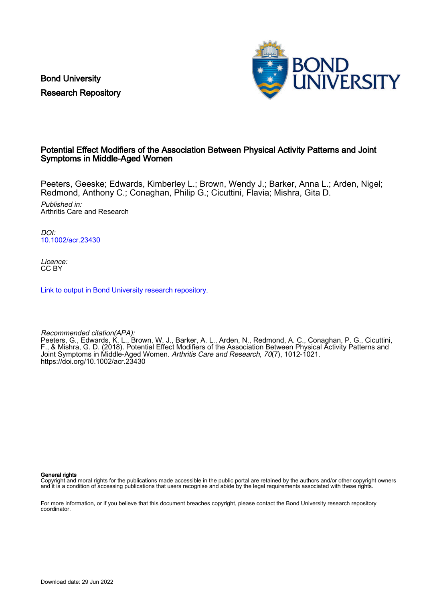Bond University Research Repository



## Potential Effect Modifiers of the Association Between Physical Activity Patterns and Joint Symptoms in Middle-Aged Women

Peeters, Geeske; Edwards, Kimberley L.; Brown, Wendy J.; Barker, Anna L.; Arden, Nigel; Redmond, Anthony C.; Conaghan, Philip G.; Cicuttini, Flavia; Mishra, Gita D.

Published in: Arthritis Care and Research

DOI: [10.1002/acr.23430](https://doi.org/10.1002/acr.23430)

Licence: CC BY

[Link to output in Bond University research repository.](https://research.bond.edu.au/en/publications/62927894-4228-48ac-9236-e6fe93122da4)

Recommended citation(APA): Peeters, G., Edwards, K. L., Brown, W. J., Barker, A. L., Arden, N., Redmond, A. C., Conaghan, P. G., Cicuttini, F., & Mishra, G. D. (2018). Potential Effect Modifiers of the Association Between Physical Activity Patterns and Joint Symptoms in Middle-Aged Women. Arthritis Care and Research, 70(7), 1012-1021. <https://doi.org/10.1002/acr.23430>

General rights

Copyright and moral rights for the publications made accessible in the public portal are retained by the authors and/or other copyright owners and it is a condition of accessing publications that users recognise and abide by the legal requirements associated with these rights.

For more information, or if you believe that this document breaches copyright, please contact the Bond University research repository coordinator.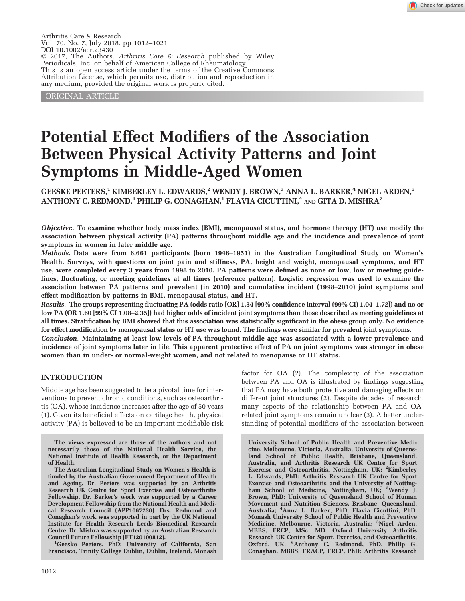Arthritis Care & Research Vol. 70, No. 7, July 2018, pp 1012–1021 DOI 10.1002/acr.23430  $© 2017$ , The Authors. Arthritis Care & Research published by Wiley Periodicals, Inc. on behalf of American College of Rheumatology. This is an open access article under the terms of the [Creative Commons](http://creativecommons.org/licenses/by/4.0/) [Attribution](http://creativecommons.org/licenses/by/4.0/) License, which permits use, distribution and reproduction in any medium, provided the original work is properly cited.

ORIGINAL ARTICLE

# Potential Effect Modifiers of the Association Between Physical Activity Patterns and Joint Symptoms in Middle-Aged Women

GEESKE PEETERS,<sup>1</sup> KIMBERLEY L. EDWARDS,<sup>2</sup> WENDY J. BROWN,<sup>3</sup> ANNA L. BARKER,<sup>4</sup> NIGEL ARDEN,<sup>5</sup> ANTHONY C. REDMOND,<sup>6</sup> PHILIP G. CONAGHAN,<sup>6</sup> FLAVIA CICUTTINI,<sup>4</sup> AND GITA D. MISHRA<sup>7</sup>

Objective. To examine whether body mass index (BMI), menopausal status, and hormone therapy (HT) use modify the association between physical activity (PA) patterns throughout middle age and the incidence and prevalence of joint symptoms in women in later middle age.

Methods. Data were from 6,661 participants (born 1946–1951) in the Australian Longitudinal Study on Women's Health. Surveys, with questions on joint pain and stiffness, PA, height and weight, menopausal symptoms, and HT use, were completed every 3 years from 1998 to 2010. PA patterns were defined as none or low, low or meeting guidelines, fluctuating, or meeting guidelines at all times (reference pattern). Logistic regression was used to examine the association between PA patterns and prevalent (in 2010) and cumulative incident (1998–2010) joint symptoms and effect modification by patterns in BMI, menopausal status, and HT.

Results. The groups representing fluctuating PA (odds ratio [OR] 1.34 [99% confidence interval (99% CI) 1.04–1.72]) and no or low PA (OR 1.60 [99% CI 1.08–2.35]) had higher odds of incident joint symptoms than those described as meeting guidelines at all times. Stratification by BMI showed that this association was statistically significant in the obese group only. No evidence for effect modification by menopausal status or HT use was found. The findings were similar for prevalent joint symptoms.

Conclusion. Maintaining at least low levels of PA throughout middle age was associated with a lower prevalence and incidence of joint symptoms later in life. This apparent protective effect of PA on joint symptoms was stronger in obese women than in under- or normal-weight women, and not related to menopause or HT status.

#### INTRODUCTION

Middle age has been suggested to be a pivotal time for interventions to prevent chronic conditions, such as osteoarthritis (OA), whose incidence increases after the age of 50 years (1). Given its beneficial effects on cartilage health, physical activity (PA) is believed to be an important modifiable risk

The views expressed are those of the authors and not necessarily those of the National Health Service, the National Institute of Health Research, or the Department of Health.

The Australian Longitudinal Study on Women's Health is funded by the Australian Government Department of Health and Ageing. Dr. Peeters was supported by an Arthritis Research UK Centre for Sport Exercise and Osteoarthritis Fellowship. Dr. Barker's work was supported by a Career Development Fellowship from the National Health and Medical Research Council (APP1067236). Drs. Redmond and Conaghan's work was supported in part by the UK National Institute for Health Research Leeds Biomedical Research Centre. Dr. Mishra was supported by an Australian Research Council Future Fellowship (FT120100812). <sup>1</sup>

<sup>1</sup>Geeske Peeters, PhD: University of California, San Francisco, Trinity College Dublin, Dublin, Ireland, Monash factor for OA (2). The complexity of the association between PA and OA is illustrated by findings suggesting that PA may have both protective and damaging effects on different joint structures (2). Despite decades of research, many aspects of the relationship between PA and OArelated joint symptoms remain unclear (3). A better understanding of potential modifiers of the association between

University School of Public Health and Preventive Medicine, Melbourne, Victoria, Australia, University of Queensland School of Public Health, Brisbane, Queensland, Australia, and Arthritis Research UK Centre for Sport Exercise and Osteoarthritis, Nottingham, UK; <sup>2</sup>Kimberley L. Edwards, PhD: Arthritis Research UK Centre for Sport Exercise and Osteoarthritis and the University of Nottingham School of Medicine, Nottingham, UK; <sup>3</sup>Wendy J. Brown, PhD: University of Queensland School of Human Movement and Nutrition Sciences, Brisbane, Queensland, Australia; <sup>4</sup> Anna L. Barker, PhD, Flavia Cicuttini, PhD: Monash University School of Public Health and Preventive Medicine, Melbourne, Victoria, Australia; <sup>5</sup>Nigel Arden, MBBS, FRCP, MSc, MD: Oxford University Arthritis Research UK Centre for Sport, Exercise, and Osteoarthritis, Oxford, UK; <sup>6</sup>Anthony C. Redmond, PhD, Philip G. Conaghan, MBBS, FRACP, FRCP, PhD: Arthritis Research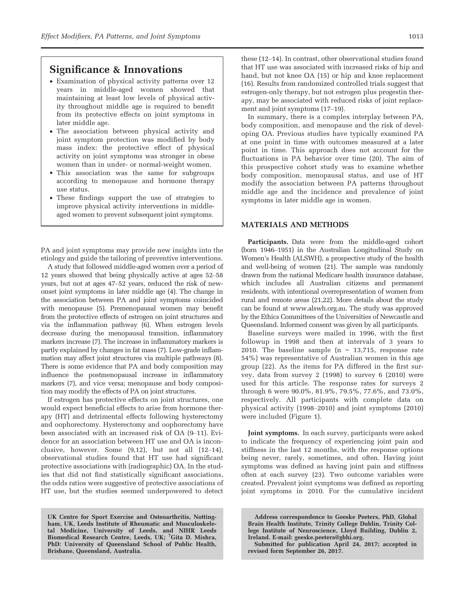## Significance & Innovations

- Examination of physical activity patterns over 12 years in middle-aged women showed that maintaining at least low levels of physical activity throughout middle age is required to benefit from its protective effects on joint symptoms in later middle age.
- The association between physical activity and joint symptom protection was modified by body mass index: the protective effect of physical activity on joint symptoms was stronger in obese women than in under- or normal-weight women.
- This association was the same for subgroups according to menopause and hormone therapy use status.
- These findings support the use of strategies to improve physical activity interventions in middleaged women to prevent subsequent joint symptoms.

PA and joint symptoms may provide new insights into the etiology and guide the tailoring of preventive interventions.

A study that followed middle-aged women over a period of 12 years showed that being physically active at ages 52–58 years, but not at ages 47–52 years, reduced the risk of newonset joint symptoms in later middle age (4). The change in the association between PA and joint symptoms coincided with menopause (5). Premenopausal women may benefit from the protective effects of estrogen on joint structures and via the inflammation pathway (6). When estrogen levels decrease during the menopausal transition, inflammatory markers increase (7). The increase in inflammatory markers is partly explained by changes in fat mass (7). Low-grade inflammation may affect joint structures via multiple pathways (8). There is some evidence that PA and body composition may influence the postmenopausal increase in inflammatory markers (7), and vice versa; menopause and body composition may modify the effects of PA on joint structures.

If estrogen has protective effects on joint structures, one would expect beneficial effects to arise from hormone therapy (HT) and detrimental effects following hysterectomy and oophorectomy. Hysterectomy and oophorectomy have been associated with an increased risk of OA (9–11). Evidence for an association between HT use and OA is inconclusive, however. Some (9,12), but not all (12–14), observational studies found that HT use had significant protective associations with (radiographic) OA. In the studies that did not find statistically significant associations, the odds ratios were suggestive of protective associations of HT use, but the studies seemed underpowered to detect

UK Centre for Sport Exercise and Osteoarthritis, Nottingham, UK, Leeds Institute of Rheumatic and Musculoskeletal Medicine, University of Leeds, and NIHR Leeds Biomedical Research Centre, Leeds, UK; <sup>7</sup>Gita D. Mishra, PhD: University of Queensland School of Public Health, Brisbane, Queensland, Australia.

these (12–14). In contrast, other observational studies found that HT use was associated with increased risks of hip and hand, but not knee OA (15) or hip and knee replacement (16). Results from randomized controlled trials suggest that estrogen-only therapy, but not estrogen plus progestin therapy, may be associated with reduced risks of joint replacement and joint symptoms (17–19).

In summary, there is a complex interplay between PA, body composition, and menopause and the risk of developing OA. Previous studies have typically examined PA at one point in time with outcomes measured at a later point in time. This approach does not account for the fluctuations in PA behavior over time (20). The aim of this prospective cohort study was to examine whether body composition, menopausal status, and use of HT modify the association between PA patterns throughout middle age and the incidence and prevalence of joint symptoms in later middle age in women.

### MATERIALS AND METHODS

Participants. Data were from the middle-aged cohort (born 1946–1951) in the Australian Longitudinal Study on Women's Health (ALSWH), a prospective study of the health and well-being of women (21). The sample was randomly drawn from the national Medicare health insurance database, which includes all Australian citizens and permanent residents, with intentional overrepresentation of women from rural and remote areas (21,22). More details about the study can be found at [www.alswh.org.au](http://www.alswh.org.au). The study was approved by the Ethics Committees of the Universities of Newcastle and Queensland. Informed consent was given by all participants.

Baseline surveys were mailed in 1996, with the first followup in 1998 and then at intervals of 3 years to 2010. The baseline sample  $(n = 13,715,$  response rate 54%) was representative of Australian women in this age group (22). As the items for PA differed in the first survey, data from survey 2 (1998) to survey 6 (2010) were used for this article. The response rates for surveys 2 through 6 were 90.0%, 81.9%, 79.5%, 77.6%, and 73.0%, respectively. All participants with complete data on physical activity (1998–2010) and joint symptoms (2010) were included (Figure 1).

Joint symptoms. In each survey, participants were asked to indicate the frequency of experiencing joint pain and stiffness in the last 12 months, with the response options being never, rarely, sometimes, and often. Having joint symptoms was defined as having joint pain and stiffness often at each survey (23). Two outcome variables were created. Prevalent joint symptoms was defined as reporting joint symptoms in 2010. For the cumulative incident

Address correspondence to Geeske Peeters, PhD, Global Brain Health Institute, Trinity College Dublin, Trinity College Institute of Neuroscience, Lloyd Building, Dublin 2, Ireland. E-mail: [geeske.peeters@gbhi.org](mailto:geeske.peeters@gbhi.org).

Submitted for publication April 24, 2017; accepted in revised form September 26, 2017.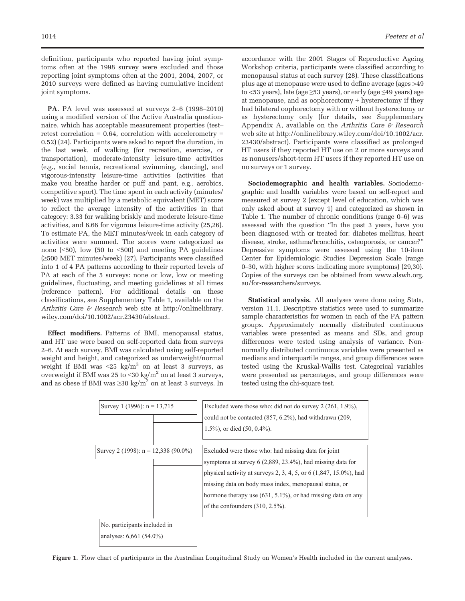definition, participants who reported having joint symptoms often at the 1998 survey were excluded and those reporting joint symptoms often at the 2001, 2004, 2007, or 2010 surveys were defined as having cumulative incident joint symptoms.

PA. PA level was assessed at surveys 2–6 (1998–2010) using a modified version of the Active Australia questionnaire, which has acceptable measurement properties (test– retest correlation  $= 0.64$ , correlation with accelerometry  $=$ 0.52) (24). Participants were asked to report the duration, in the last week, of walking (for recreation, exercise, or transportation), moderate-intensity leisure-time activities (e.g., social tennis, recreational swimming, dancing), and vigorous-intensity leisure-time activities (activities that make you breathe harder or puff and pant, e.g., aerobics, competitive sport). The time spent in each activity (minutes/ week) was multiplied by a metabolic equivalent (MET) score to reflect the average intensity of the activities in that category: 3.33 for walking briskly and moderate leisure-time activities, and 6.66 for vigorous leisure-time activity (25,26). To estimate PA, the MET minutes/week in each category of activities were summed. The scores were categorized as none (<50), low (50 to <500) and meeting PA guidelines (≥500 MET minutes/week) (27). Participants were classified into 1 of 4 PA patterns according to their reported levels of PA at each of the 5 surveys: none or low, low or meeting guidelines, fluctuating, and meeting guidelines at all times (reference pattern). For additional details on these classifications, see Supplementary Table 1, available on the Arthritis Care & Research web site at [http://onlinelibrary.](http://onlinelibrary.wiley.com/doi/10.1002/acr.23430/abstract) [wiley.com/doi/10.1002/acr.23430/abstract](http://onlinelibrary.wiley.com/doi/10.1002/acr.23430/abstract).

Effect modifiers. Patterns of BMI, menopausal status, and HT use were based on self-reported data from surveys 2–6. At each survey, BMI was calculated using self-reported weight and height, and categorized as underweight/normal weight if BMI was  $\langle 25 \text{ kg/m}^2 \rangle$  on at least 3 surveys, as overweight if BMI was 25 to  $\leq$  30 kg/m<sup>2</sup> on at least 3 surveys, and as obese if BMI was  $\geq$ 30 kg/m<sup>2</sup> on at least 3 surveys. In accordance with the 2001 Stages of Reproductive Ageing Workshop criteria, participants were classified according to menopausal status at each survey (28). These classifications plus age at menopause were used to define average (ages >49 to <53 years), late (age  $\geq$ 53 years), or early (age  $\leq$ 49 years) age at menopause, and as  $oophorectomy + hysterectomy$  if they had bilateral oophorectomy with or without hysterectomy or as hysterectomy only (for details, see Supplementary Appendix A, available on the Arthritis Care  $\mathcal F$  Research web site at [http://onlinelibrary.wiley.com/doi/10.1002/acr.](http://onlinelibrary.wiley.com/doi/10.1002/acr.23430/abstract) [23430/abstract](http://onlinelibrary.wiley.com/doi/10.1002/acr.23430/abstract)). Participants were classified as prolonged HT users if they reported HT use on 2 or more surveys and as nonusers/short-term HT users if they reported HT use on no surveys or 1 survey.

Sociodemographic and health variables. Sociodemographic and health variables were based on self-report and measured at survey 2 (except level of education, which was only asked about at survey 1) and categorized as shown in Table 1. The number of chronic conditions (range 0–6) was assessed with the question "In the past 3 years, have you been diagnosed with or treated for: diabetes mellitus, heart disease, stroke, asthma/bronchitis, osteoporosis, or cancer?" Depressive symptoms were assessed using the 10-item Center for Epidemiologic Studies Depression Scale (range 0–30, with higher scores indicating more symptoms) (29,30). Copies of the surveys can be obtained from [www.alswh.org.](http://www.alswh.org.au/for-researchers/surveys) [au/for-researchers/surveys](http://www.alswh.org.au/for-researchers/surveys).

Statistical analysis. All analyses were done using Stata, version 11.1. Descriptive statistics were used to summarize sample characteristics for women in each of the PA pattern groups. Approximately normally distributed continuous variables were presented as means and SDs, and group differences were tested using analysis of variance. Nonnormally distributed continuous variables were presented as medians and interquartile ranges, and group differences were tested using the Kruskal-Wallis test. Categorical variables were presented as percentages, and group differences were tested using the chi-square test.

| Survey 1 (1996): $n = 13,715$                             | Excluded were those who: did not do survey 2 (261, 1.9%),<br>could not be contacted $(857, 6.2\%)$ , had withdrawn $(209, 100)$<br>$1.5\%$ , or died $(50, 0.4\%)$ .                                                                                                                                                                                          |
|-----------------------------------------------------------|---------------------------------------------------------------------------------------------------------------------------------------------------------------------------------------------------------------------------------------------------------------------------------------------------------------------------------------------------------------|
| Survey 2 (1998): $n = 12,338$ (90.0%)                     | Excluded were those who: had missing data for joint<br>symptoms at survey 6 (2,889, 23.4%), had missing data for<br>physical activity at surveys 2, 3, 4, 5, or 6 $(1,847, 15.0\%)$ , had<br>missing data on body mass index, menopausal status, or<br>hormone therapy use $(631, 5.1\%)$ , or had missing data on any<br>of the confounders $(310, 2.5\%)$ . |
| No. participants included in<br>analyses: $6,661$ (54.0%) |                                                                                                                                                                                                                                                                                                                                                               |

Figure 1. Flow chart of participants in the Australian Longitudinal Study on Women's Health included in the current analyses.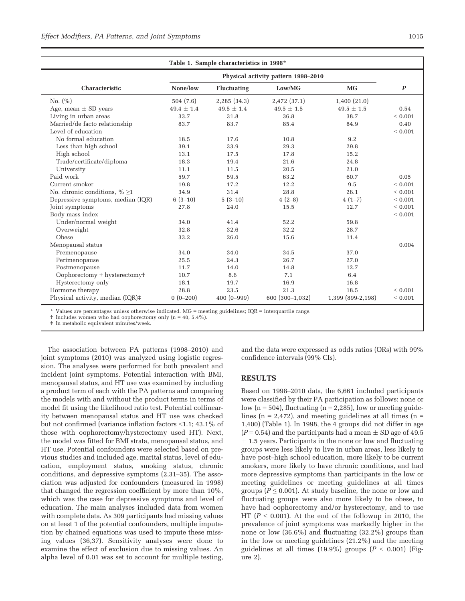| Table 1. Sample characteristics in 1998* |                                     |                    |                 |                   |                  |  |
|------------------------------------------|-------------------------------------|--------------------|-----------------|-------------------|------------------|--|
|                                          | Physical activity pattern 1998–2010 |                    |                 |                   |                  |  |
| Characteristic                           | None/low                            | <b>Fluctuating</b> | Low/MG          | <b>MG</b>         | $\boldsymbol{P}$ |  |
| No. $(\% )$                              | 504(7.6)                            | 2,285 (34.3)       | 2,472 (37.1)    | 1,400(21.0)       |                  |  |
| Age, mean $\pm$ SD years                 | $49.4 \pm 1.4$                      | $49.5 \pm 1.4$     | $49.5 \pm 1.5$  | $49.5 \pm 1.5$    | 0.54             |  |
| Living in urban areas                    | 33.7                                | 31.8               | 36.8            | 38.7              | ${}< 0.001$      |  |
| Married/de facto relationship            | 83.7                                | 83.7               | 85.4            | 84.9              | 0.40             |  |
| Level of education                       |                                     |                    |                 |                   | ${}< 0.001$      |  |
| No formal education                      | 18.5                                | 17.6               | 10.8            | 9.2               |                  |  |
| Less than high school                    | 39.1                                | 33.9               | 29.3            | 29.8              |                  |  |
| High school                              | 13.1                                | 17.5               | 17.8            | 15.2              |                  |  |
| Trade/certificate/diploma                | 18.3                                | 19.4               | 21.6            | 24.8              |                  |  |
| University                               | 11.1                                | 11.5               | 20.5            | 21.0              |                  |  |
| Paid work                                | 59.7                                | 59.5               | 63.2            | 60.7              | 0.05             |  |
| Current smoker                           | 19.8                                | 17.2               | 12.2            | 9.5               | ${}< 0.001$      |  |
| No. chronic conditions, $\% \geq 1$      | 34.9                                | 31.4               | 28.8            | 26.1              | ${}< 0.001$      |  |
| Depressive symptoms, median (IQR)        | $6(3-10)$                           | $5(3-10)$          | $4(2-8)$        | $4(1-7)$          | ${}< 0.001$      |  |
| Joint symptoms                           | 27.8                                | 24.0               | 15.5            | 12.7              | ${}< 0.001$      |  |
| Body mass index                          |                                     |                    |                 |                   | ${}< 0.001$      |  |
| Under/normal weight                      | 34.0                                | 41.4               | 52.2            | 59.8              |                  |  |
| Overweight                               | 32.8                                | 32.6               | 32.2            | 28.7              |                  |  |
| Obese                                    | 33.2                                | 26.0               | 15.6            | 11.4              |                  |  |
| Menopausal status                        |                                     |                    |                 |                   | 0.004            |  |
| Premenopause                             | 34.0                                | 34.0               | 34.5            | 37.0              |                  |  |
| Perimenopause                            | 25.5                                | 24.3               | 26.7            | 27.0              |                  |  |
| Postmenopause                            | 11.7                                | 14.0               | 14.8            | 12.7              |                  |  |
| $Oophorectomy + hysterectomy$            | 10.7                                | 8.6                | 7.1             | 6.4               |                  |  |
| Hysterectomy only                        | 18.1                                | 19.7               | 16.9            | 16.8              |                  |  |
| Hormone therapy                          | 28.8                                | 23.5               | 21.3            | 18.5              | ${}< 0.001$      |  |
| Physical activity, median (IQR)#         | $0(0-200)$                          | $400(0 - 999)$     | 600 (300-1,032) | 1,399 (899-2,198) | ${}< 0.001$      |  |

\* Values are percentages unless otherwise indicated. MG = meeting guidelines; IQR = interquartile range.

† Includes women who had oophorectomy only (n = 40, 5.4%).

‡ In metabolic equivalent minutes/week.

The association between PA patterns (1998–2010) and joint symptoms (2010) was analyzed using logistic regression. The analyses were performed for both prevalent and incident joint symptoms. Potential interaction with BMI, menopausal status, and HT use was examined by including a product term of each with the PA patterns and comparing the models with and without the product terms in terms of model fit using the likelihood ratio test. Potential collinearity between menopausal status and HT use was checked but not confirmed (variance inflation factors <1.1; 43.1% of those with oophorectomy/hysterectomy used HT). Next, the model was fitted for BMI strata, menopausal status, and HT use. Potential confounders were selected based on previous studies and included age, marital status, level of education, employment status, smoking status, chronic conditions, and depressive symptoms (2,31–35). The association was adjusted for confounders (measured in 1998) that changed the regression coefficient by more than 10%, which was the case for depressive symptoms and level of education. The main analyses included data from women with complete data. As 309 participants had missing values on at least 1 of the potential confounders, multiple imputation by chained equations was used to impute these missing values (36,37). Sensitivity analyses were done to examine the effect of exclusion due to missing values. An alpha level of 0.01 was set to account for multiple testing, and the data were expressed as odds ratios (ORs) with 99% confidence intervals (99% CIs).

#### RESULTS

Based on 1998–2010 data, the 6,661 included participants were classified by their PA participation as follows: none or low ( $n = 504$ ), fluctuating ( $n = 2,285$ ), low or meeting guidelines ( $n = 2,472$ ), and meeting guidelines at all times ( $n =$ 1,400) (Table 1). In 1998, the 4 groups did not differ in age  $(P = 0.54)$  and the participants had a mean  $\pm$  SD age of 49.5  $\pm$  1.5 years. Participants in the none or low and fluctuating groups were less likely to live in urban areas, less likely to have post–high school education, more likely to be current smokers, more likely to have chronic conditions, and had more depressive symptoms than participants in the low or meeting guidelines or meeting guidelines at all times groups ( $P \leq 0.001$ ). At study baseline, the none or low and fluctuating groups were also more likely to be obese, to have had oophorectomy and/or hysterectomy, and to use HT ( $P < 0.001$ ). At the end of the followup in 2010, the prevalence of joint symptoms was markedly higher in the none or low (36.6%) and fluctuating (32.2%) groups than in the low or meeting guidelines (21.2%) and the meeting guidelines at all times  $(19.9\%)$  groups  $(P < 0.001)$  (Figure 2).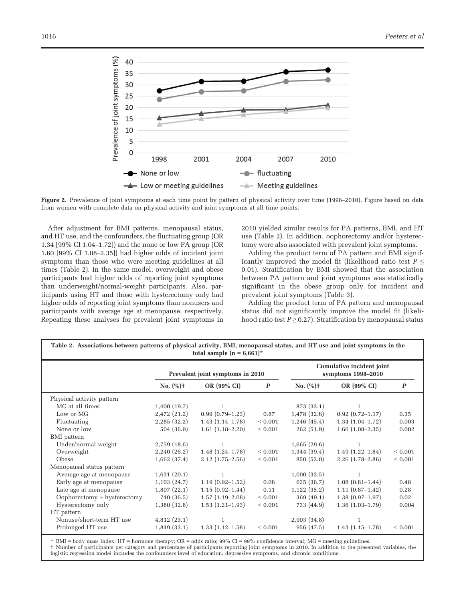

Figure 2. Prevalence of joint symptoms at each time point by pattern of physical activity over time (1998–2010). Figure based on data from women with complete data on physical activity and joint symptoms at all time points.

After adjustment for BMI patterns, menopausal status, and HT use, and the confounders, the fluctuating group (OR 1.34 [99% CI 1.04–1.72]) and the none or low PA group (OR 1.60 [99% CI 1.08–2.35]) had higher odds of incident joint symptoms than those who were meeting guidelines at all times (Table 2). In the same model, overweight and obese participants had higher odds of reporting joint symptoms than underweight/normal-weight participants. Also, participants using HT and those with hysterectomy only had higher odds of reporting joint symptoms than nonusers and participants with average age at menopause, respectively. Repeating these analyses for prevalent joint symptoms in 2010 yielded similar results for PA patterns, BMI, and HT use (Table 2). In addition, oophorectomy and/or hysterectomy were also associated with prevalent joint symptoms.

Adding the product term of PA pattern and BMI significantly improved the model fit (likelihood ratio test  $P \leq$ 0.01). Stratification by BMI showed that the association between PA pattern and joint symptoms was statistically significant in the obese group only for incident and prevalent joint symptoms (Table 3).

Adding the product term of PA pattern and menopausal status did not significantly improve the model fit (likelihood ratio test  $P \ge 0.27$ ). Stratification by menopausal status

| Table 2. Associations between patterns of physical activity, BMI, menopausal status, and HT use and joint symptoms in the<br>total sample $(n = 6,661)^*$ |                                  |                      |                  |                                                 |                      |                  |  |
|-----------------------------------------------------------------------------------------------------------------------------------------------------------|----------------------------------|----------------------|------------------|-------------------------------------------------|----------------------|------------------|--|
|                                                                                                                                                           | Prevalent joint symptoms in 2010 |                      |                  | Cumulative incident joint<br>symptoms 1998-2010 |                      |                  |  |
|                                                                                                                                                           | No. $(%)$ +                      | OR (99% CI)          | $\boldsymbol{P}$ | No. $(\% )$ <sup>+</sup>                        | OR (99% CI)          | $\boldsymbol{p}$ |  |
| Physical activity pattern                                                                                                                                 |                                  |                      |                  |                                                 |                      |                  |  |
| MG at all times                                                                                                                                           | 1,400(19.7)                      | 1                    |                  | 873 (32.1)                                      | 1                    |                  |  |
| Low or MG                                                                                                                                                 | 2,472 (21.2)                     | $0.99(0.79-1.23)$    | 0.87             | 1,478 (32.6)                                    | $0.92(0.72 - 1.17)$  | 0.35             |  |
| Fluctuating                                                                                                                                               | 2,285 (32.2)                     | $1.43(1.14-1.78)$    | ${}< 0.001$      | 1,246(45.4)                                     | $1.34(1.04-1.72)$    | 0.003            |  |
| None or low                                                                                                                                               | 504 (36.9)                       | $1.61$ $(1.18-2.20)$ | ${}< 0.001$      | 262 (51.9)                                      | $1.60$ $(1.08-2.35)$ | 0.002            |  |
| BMI pattern                                                                                                                                               |                                  |                      |                  |                                                 |                      |                  |  |
| Under/normal weight                                                                                                                                       | 2,759(18.6)                      | 1                    |                  | 1,665(29.6)                                     | 1                    |                  |  |
| Overweight                                                                                                                                                | 2,240 (26.2)                     | $1.48(1.24 - 1.78)$  | ${}< 0.001$      | $1,344$ (39.4)                                  | $1.49(1.22 - 1.84)$  | ${}< 0.001$      |  |
| Obese                                                                                                                                                     | $1,662$ (37.4)                   | $2.12$ $(1.75-2.56)$ | ${}< 0.001$      | 850 (52.0)                                      | $2.26$ $(1.78-2.86)$ | ${}< 0.001$      |  |
| Menopausal status pattern                                                                                                                                 |                                  |                      |                  |                                                 |                      |                  |  |
| Average age at menopause                                                                                                                                  | 1,631(20.1)                      | 1                    |                  | 1,000(32.5)                                     | 1                    |                  |  |
| Early age at menopause                                                                                                                                    | 1,103(24.7)                      | $1.19(0.92 - 1.52)$  | 0.08             | 635 (36.7)                                      | $1.08(0.81-1.44)$    | 0.48             |  |
| Late age at menopause                                                                                                                                     | 1,807(22.1)                      | $1.15(0.92 - 1.44)$  | 0.11             | $1,122$ (35.2)                                  | $1.11(0.87-1.42)$    | 0.28             |  |
| $Oophorectomy + hysterectomy$                                                                                                                             | 740 (36.5)                       | $1.57(1.19-2.08)$    | ${}< 0.001$      | 369(49.1)                                       | $1.38(0.97-1.97)$    | 0.02             |  |
| Hysterectomy only                                                                                                                                         | 1,380(32.8)                      | $1.53(1.21-1.93)$    | ${}< 0.001$      | 733 (44.9)                                      | $1.36(1.03-1.79)$    | 0.004            |  |
| HT pattern                                                                                                                                                |                                  |                      |                  |                                                 |                      |                  |  |
| Nonuse/short-term HT use                                                                                                                                  | 4,812(23.1)                      | $\mathbf{1}$         |                  | 2,903(34.8)                                     | 1                    |                  |  |
| Prolonged HT use                                                                                                                                          | $1,849$ (33.1)                   | $1.33(1.12 - 1.58)$  | ${}< 0.001$      | 956 (47.5)                                      | $1.43(1.15-1.78)$    | ${}< 0.001$      |  |

 $BMI = body$  mass index; HT = hormone therapy;  $OR = odds$  ratio; 99%  $CI = 99%$  confidence interval; MG = meeting guidelines.

† Number of participants per category and percentage of participants reporting joint symptoms in 2010. In addition to the presented variables, the logistic regression model includes the confounders level of education, depressive symptoms, and chronic conditions.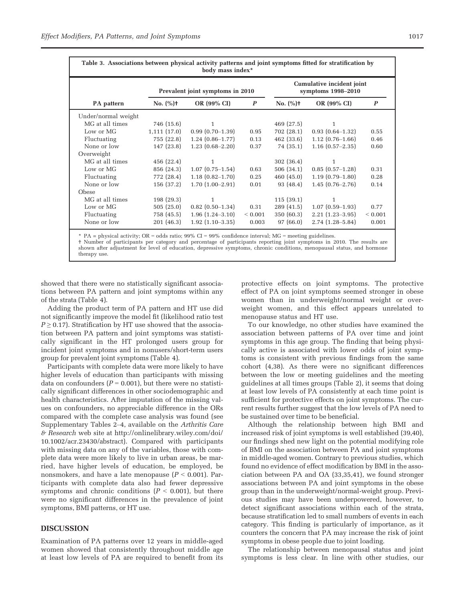| Table 3. Associations between physical activity patterns and joint symptoms fitted for stratification by<br>body mass index* |             |                                  |                  |                                                 |                     |                  |  |
|------------------------------------------------------------------------------------------------------------------------------|-------------|----------------------------------|------------------|-------------------------------------------------|---------------------|------------------|--|
|                                                                                                                              |             | Prevalent joint symptoms in 2010 |                  | Cumulative incident joint<br>symptoms 1998-2010 |                     |                  |  |
| PA pattern                                                                                                                   | $No. (%)+$  | OR (99% CI)                      | $\boldsymbol{P}$ | $No. (%)+$                                      | OR (99% CI)         | $\boldsymbol{P}$ |  |
| Under/normal weight                                                                                                          |             |                                  |                  |                                                 |                     |                  |  |
| MG at all times                                                                                                              | 746 (15.6)  | $\mathbf{1}$                     |                  | 469 (27.5)                                      | 1                   |                  |  |
| Low or MG                                                                                                                    | 1,111(17.0) | $0.99(0.70-1.39)$                | 0.95             | 702 (28.1)                                      | $0.93(0.64-1.32)$   | 0.55             |  |
| Fluctuating                                                                                                                  | 755 (22.8)  | $1.24(0.86-1.77)$                | 0.13             | 462 (33.6)                                      | $1.12(0.76-1.66)$   | 0.46             |  |
| None or low                                                                                                                  | 147(23.8)   | $1.23(0.68 - 2.20)$              | 0.37             | 74 (35.1)                                       | $1.16(0.57-2.35)$   | 0.60             |  |
| Overweight                                                                                                                   |             |                                  |                  |                                                 |                     |                  |  |
| MG at all times                                                                                                              | 456 (22.4)  | $\mathbf{1}$                     |                  | 302(36.4)                                       | 1                   |                  |  |
| Low or MG                                                                                                                    | 856 (24.3)  | $1.07(0.75-1.54)$                | 0.63             | 506 (34.1)                                      | $0.85(0.57-1.28)$   | 0.31             |  |
| Fluctuating                                                                                                                  | 772 (28.4)  | $1.18(0.82 - 1.70)$              | 0.25             | 460(45.0)                                       | $1.19(0.79 - 1.80)$ | 0.28             |  |
| None or low                                                                                                                  | 156 (37.2)  | $1.70(1.00-2.91)$                | 0.01             | 93 (48.4)                                       | $1.45(0.76-2.76)$   | 0.14             |  |
| Obese                                                                                                                        |             |                                  |                  |                                                 |                     |                  |  |
| MG at all times                                                                                                              | 198(29.3)   | $\mathbf{1}$                     |                  | 115(39.1)                                       | 1                   |                  |  |
| Low or MG                                                                                                                    | 505(25.0)   | $0.82(0.50-1.34)$                | 0.31             | 289(41.5)                                       | $1.07(0.59-1.93)$   | 0.77             |  |
| Fluctuating                                                                                                                  | 758 (45.5)  | $1.96(1.24 - 3.10)$              | ${}< 0.001$      | 350 (60.3)                                      | $2.21(1.23-3.95)$   | ${}< 0.001$      |  |
| None or low                                                                                                                  | 201(46.3)   | $1.92(1.10-3.35)$                | 0.003            | 97(66.0)                                        | $2.74(1.28 - 5.84)$ | 0.001            |  |

\* PA = physical activity; OR = odds ratio; 99% CI = 99% confidence interval; MG = meeting guidelines.

† Number of participants per category and percentage of participants reporting joint symptoms in 2010. The results are shown after adjustment for level of education, depressive symptoms, chronic conditions, menopausal status, and hormone therapy use.

showed that there were no statistically significant associations between PA pattern and joint symptoms within any of the strata (Table 4).

Adding the product term of PA pattern and HT use did not significantly improve the model fit (likelihood ratio test  $P \ge 0.17$ ). Stratification by HT use showed that the association between PA pattern and joint symptoms was statistically significant in the HT prolonged users group for incident joint symptoms and in nonusers/short-term users group for prevalent joint symptoms (Table 4).

Participants with complete data were more likely to have higher levels of education than participants with missing data on confounders ( $P = 0.001$ ), but there were no statistically significant differences in other sociodemographic and health characteristics. After imputation of the missing values on confounders, no appreciable difference in the ORs compared with the complete case analysis was found (see Supplementary Tables 2–4, available on the Arthritis Care & Research web site at [http://onlinelibrary.wiley.com/doi/](http://onlinelibrary.wiley.com/doi/10.1002/acr.23430/abstract) [10.1002/acr.23430/abstract](http://onlinelibrary.wiley.com/doi/10.1002/acr.23430/abstract)). Compared with participants with missing data on any of the variables, those with complete data were more likely to live in urban areas, be married, have higher levels of education, be employed, be nonsmokers, and have a late menopause  $(P < 0.001)$ . Participants with complete data also had fewer depressive symptoms and chronic conditions ( $P < 0.001$ ), but there were no significant differences in the prevalence of joint symptoms, BMI patterns, or HT use.

#### DISCUSSION

Examination of PA patterns over 12 years in middle-aged women showed that consistently throughout middle age at least low levels of PA are required to benefit from its

protective effects on joint symptoms. The protective effect of PA on joint symptoms seemed stronger in obese women than in underweight/normal weight or overweight women, and this effect appears unrelated to menopause status and HT use.

To our knowledge, no other studies have examined the association between patterns of PA over time and joint symptoms in this age group. The finding that being physically active is associated with lower odds of joint symptoms is consistent with previous findings from the same cohort (4,38). As there were no significant differences between the low or meeting guidelines and the meeting guidelines at all times groups (Table 2), it seems that doing at least low levels of PA consistently at each time point is sufficient for protective effects on joint symptoms. The current results further suggest that the low levels of PA need to be sustained over time to be beneficial.

Although the relationship between high BMI and increased risk of joint symptoms is well established (39,40), our findings shed new light on the potential modifying role of BMI on the association between PA and joint symptoms in middle-aged women. Contrary to previous studies, which found no evidence of effect modification by BMI in the association between PA and OA (33,35,41), we found stronger associations between PA and joint symptoms in the obese group than in the underweight/normal-weight group. Previous studies may have been underpowered, however, to detect significant associations within each of the strata, because stratification led to small numbers of events in each category. This finding is particularly of importance, as it counters the concern that PA may increase the risk of joint symptoms in obese people due to joint loading.

The relationship between menopausal status and joint symptoms is less clear. In line with other studies, our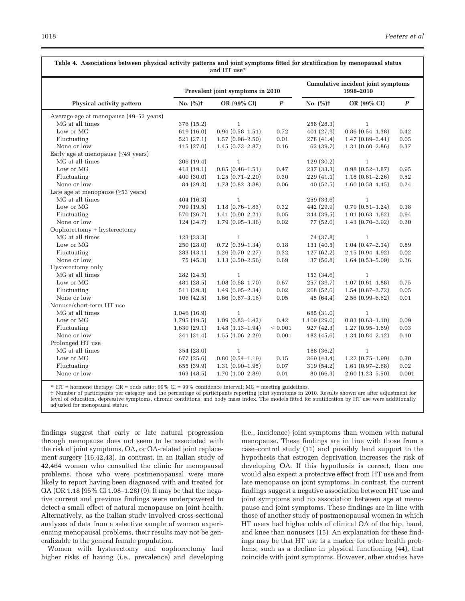| Cumulative incident joint symptoms<br>Prevalent joint symptoms in 2010<br>1998-2010<br>No. (%)t<br>No. $(%)$ +<br>OR (99% CI)<br>$\boldsymbol{P}$<br>OR (99% CI)<br>$\boldsymbol{P}$<br>Physical activity pattern<br>Average age at menopause (49–53 years)<br>MG at all times<br>376 (15.2)<br>258(28.3)<br>$\mathbf{1}$<br>$\mathbf{1}$<br>Low or MG<br>$0.94(0.58 - 1.51)$<br>$0.86$ $(0.54-1.38)$<br>619 (16.0)<br>0.72<br>401(27.9)<br>0.42<br>Fluctuating<br>521(27.1)<br>$1.57(0.98 - 2.50)$<br>$0.01\,$<br>278 (41.4)<br>$1.47(0.89 - 2.41)$<br>0.05<br>None or low<br>115(27.0)<br>$1.45(0.73 - 2.87)$<br>0.16<br>63 (39.7)<br>0.37<br>$1.31(0.60 - 2.86)$<br>Early age at menopause $(\leq 49 \text{ years})$<br>MG at all times<br>206 (19.4)<br>129(30.2)<br>$\mathbf{1}$<br>$\mathbf{1}$<br>Low or MG<br>413 (19.1)<br>$0.85(0.48 - 1.51)$<br>237 (33.3)<br>$0.98(0.52 - 1.87)$<br>0.95<br>0.47<br>400(30.0)<br>$1.25(0.71 - 2.20)$<br>0.30<br>229(41.1)<br>$1.18(0.61 - 2.26)$<br>Fluctuating<br>0.52<br>None or low<br>84 (39.3)<br>$1.78(0.82 - 3.88)$<br>0.06<br>40(52.5)<br>$1.60(0.58 - 4.45)$<br>0.24<br>Late age at menopause $(\geq 53 \text{ years})$<br>MG at all times<br>404 (16.3)<br>$\mathbf{1}$<br>259(33.6)<br>$\mathbf{1}$<br>Low or MG<br>$1.18(0.76-1.83)$<br>$0.79(0.51 - 1.24)$<br>709 (19.5)<br>0.32<br>442 (29.9)<br>0.18<br>Fluctuating<br>344 (39.5)<br>570 (26.7)<br>$1.41(0.90 - 2.21)$<br>0.05<br>$1.01(0.63 - 1.62)$<br>0.94<br>None or low<br>124 (34.7)<br>$1.79(0.95 - 3.36)$<br>0.02<br>77 (52.0)<br>$1.43(0.70 - 2.92)$<br>0.20<br>$Oophorectomy + hysterectomy$<br>MG at all times<br>$\mathbf{1}$<br>123(33.3)<br>74 (37.8)<br>$\mathbf{1}$<br>$1.04(0.47 - 2.34)$<br>Low or MG<br>250 (28.0)<br>$0.72$ $(0.39-1.34)$<br>131(40.5)<br>0.18<br>0.89<br>Fluctuating<br>283 (43.1)<br>$1.26(0.70-2.27)$<br>0.32<br>127(62.2)<br>$2.15(0.94 - 4.92)$<br>0.02<br>None or low<br>$1.13(0.50-2.56)$<br>37(56.8)<br>75 (45.3)<br>0.69<br>$1.64(0.53 - 5.09)$<br>0.26<br>Hysterectomy only<br>MG at all times<br>282 (24.5)<br>$\mathbf{1}$<br>153(34.6)<br>$\mathbf{1}$<br>Low or MG<br>$1.07(0.61 - 1.88)$<br>481 (28.5)<br>$1.08(0.68 - 1.70)$<br>257(39.7)<br>0.75<br>0.67<br>Fluctuating<br>511 (39.3)<br>$1.49(0.95 - 2.34)$<br>0.02<br>268(52.6)<br>$1.54(0.87-2.72)$<br>0.05<br>None or low<br>106(42.5)<br>$1.66$ $(0.87 - 3.16)$<br>0.05<br>45(64.4)<br>$2.56(0.99 - 6.62)$<br>0.01<br>Nonuse/short-term HT use<br>MG at all times<br>685 (31.0)<br>1,046(16.9)<br>$\mathbf{1}$<br>$1\,$<br>Low or MG<br>$1.09(0.83 - 1.43)$<br>0.42<br>1,109(29.0)<br>$0.83(0.63 - 1.10)$<br>0.09<br>1,795(19.5)<br>Fluctuating<br>$1.48(1.13-1.94)$<br>${}< 0.001$<br>927(42.3)<br>0.03<br>1,630(29.1)<br>$1.27(0.95-1.69)$<br>None or low<br>341 (31.4)<br>$1.55(1.06-2.29)$<br>0.001<br>182(45.6)<br>$1.34(0.84 - 2.12)$<br>0.10<br>Prolonged HT use<br>MG at all times<br>354 (28.0)<br>188 (36.2)<br>$\mathbf{1}$<br>$\mathbf{1}$<br>Low or MG<br>$0.80$ $(0.54 - 1.19)$<br>$1.22(0.75-1.99)$<br>677 (25.6)<br>0.15<br>369 (43.4)<br>0.30<br>Fluctuating<br>655 (39.9)<br>$1.31(0.90-1.95)$<br>0.07<br>319 (54.2)<br>$1.61(0.97-2.68)$<br>0.02<br>None or low<br>$1.70(1.00-2.89)$<br>$0.01\,$<br>163(48.5)<br>80 (66.3)<br>$2.60(1.23 - 5.50)$<br>0.001 | Table 4. Associations between physical activity patterns and joint symptoms fitted for stratification by menopausal status<br>and HT use* |  |  |  |  |  |  |  |
|----------------------------------------------------------------------------------------------------------------------------------------------------------------------------------------------------------------------------------------------------------------------------------------------------------------------------------------------------------------------------------------------------------------------------------------------------------------------------------------------------------------------------------------------------------------------------------------------------------------------------------------------------------------------------------------------------------------------------------------------------------------------------------------------------------------------------------------------------------------------------------------------------------------------------------------------------------------------------------------------------------------------------------------------------------------------------------------------------------------------------------------------------------------------------------------------------------------------------------------------------------------------------------------------------------------------------------------------------------------------------------------------------------------------------------------------------------------------------------------------------------------------------------------------------------------------------------------------------------------------------------------------------------------------------------------------------------------------------------------------------------------------------------------------------------------------------------------------------------------------------------------------------------------------------------------------------------------------------------------------------------------------------------------------------------------------------------------------------------------------------------------------------------------------------------------------------------------------------------------------------------------------------------------------------------------------------------------------------------------------------------------------------------------------------------------------------------------------------------------------------------------------------------------------------------------------------------------------------------------------------------------------------------------------------------------------------------------------------------------------------------------------------------------------------------------------------------------------------------------------------------------------------------------------------------------------------------------------------------------------------------------------------------------------------------------------------------------------------------------------------------------------------------------------------------------------------------------------------------------------------------------------------------------------------|-------------------------------------------------------------------------------------------------------------------------------------------|--|--|--|--|--|--|--|
|                                                                                                                                                                                                                                                                                                                                                                                                                                                                                                                                                                                                                                                                                                                                                                                                                                                                                                                                                                                                                                                                                                                                                                                                                                                                                                                                                                                                                                                                                                                                                                                                                                                                                                                                                                                                                                                                                                                                                                                                                                                                                                                                                                                                                                                                                                                                                                                                                                                                                                                                                                                                                                                                                                                                                                                                                                                                                                                                                                                                                                                                                                                                                                                                                                                                                                    |                                                                                                                                           |  |  |  |  |  |  |  |
|                                                                                                                                                                                                                                                                                                                                                                                                                                                                                                                                                                                                                                                                                                                                                                                                                                                                                                                                                                                                                                                                                                                                                                                                                                                                                                                                                                                                                                                                                                                                                                                                                                                                                                                                                                                                                                                                                                                                                                                                                                                                                                                                                                                                                                                                                                                                                                                                                                                                                                                                                                                                                                                                                                                                                                                                                                                                                                                                                                                                                                                                                                                                                                                                                                                                                                    |                                                                                                                                           |  |  |  |  |  |  |  |
|                                                                                                                                                                                                                                                                                                                                                                                                                                                                                                                                                                                                                                                                                                                                                                                                                                                                                                                                                                                                                                                                                                                                                                                                                                                                                                                                                                                                                                                                                                                                                                                                                                                                                                                                                                                                                                                                                                                                                                                                                                                                                                                                                                                                                                                                                                                                                                                                                                                                                                                                                                                                                                                                                                                                                                                                                                                                                                                                                                                                                                                                                                                                                                                                                                                                                                    |                                                                                                                                           |  |  |  |  |  |  |  |
|                                                                                                                                                                                                                                                                                                                                                                                                                                                                                                                                                                                                                                                                                                                                                                                                                                                                                                                                                                                                                                                                                                                                                                                                                                                                                                                                                                                                                                                                                                                                                                                                                                                                                                                                                                                                                                                                                                                                                                                                                                                                                                                                                                                                                                                                                                                                                                                                                                                                                                                                                                                                                                                                                                                                                                                                                                                                                                                                                                                                                                                                                                                                                                                                                                                                                                    |                                                                                                                                           |  |  |  |  |  |  |  |
|                                                                                                                                                                                                                                                                                                                                                                                                                                                                                                                                                                                                                                                                                                                                                                                                                                                                                                                                                                                                                                                                                                                                                                                                                                                                                                                                                                                                                                                                                                                                                                                                                                                                                                                                                                                                                                                                                                                                                                                                                                                                                                                                                                                                                                                                                                                                                                                                                                                                                                                                                                                                                                                                                                                                                                                                                                                                                                                                                                                                                                                                                                                                                                                                                                                                                                    |                                                                                                                                           |  |  |  |  |  |  |  |
|                                                                                                                                                                                                                                                                                                                                                                                                                                                                                                                                                                                                                                                                                                                                                                                                                                                                                                                                                                                                                                                                                                                                                                                                                                                                                                                                                                                                                                                                                                                                                                                                                                                                                                                                                                                                                                                                                                                                                                                                                                                                                                                                                                                                                                                                                                                                                                                                                                                                                                                                                                                                                                                                                                                                                                                                                                                                                                                                                                                                                                                                                                                                                                                                                                                                                                    |                                                                                                                                           |  |  |  |  |  |  |  |
|                                                                                                                                                                                                                                                                                                                                                                                                                                                                                                                                                                                                                                                                                                                                                                                                                                                                                                                                                                                                                                                                                                                                                                                                                                                                                                                                                                                                                                                                                                                                                                                                                                                                                                                                                                                                                                                                                                                                                                                                                                                                                                                                                                                                                                                                                                                                                                                                                                                                                                                                                                                                                                                                                                                                                                                                                                                                                                                                                                                                                                                                                                                                                                                                                                                                                                    |                                                                                                                                           |  |  |  |  |  |  |  |
|                                                                                                                                                                                                                                                                                                                                                                                                                                                                                                                                                                                                                                                                                                                                                                                                                                                                                                                                                                                                                                                                                                                                                                                                                                                                                                                                                                                                                                                                                                                                                                                                                                                                                                                                                                                                                                                                                                                                                                                                                                                                                                                                                                                                                                                                                                                                                                                                                                                                                                                                                                                                                                                                                                                                                                                                                                                                                                                                                                                                                                                                                                                                                                                                                                                                                                    |                                                                                                                                           |  |  |  |  |  |  |  |
|                                                                                                                                                                                                                                                                                                                                                                                                                                                                                                                                                                                                                                                                                                                                                                                                                                                                                                                                                                                                                                                                                                                                                                                                                                                                                                                                                                                                                                                                                                                                                                                                                                                                                                                                                                                                                                                                                                                                                                                                                                                                                                                                                                                                                                                                                                                                                                                                                                                                                                                                                                                                                                                                                                                                                                                                                                                                                                                                                                                                                                                                                                                                                                                                                                                                                                    |                                                                                                                                           |  |  |  |  |  |  |  |
|                                                                                                                                                                                                                                                                                                                                                                                                                                                                                                                                                                                                                                                                                                                                                                                                                                                                                                                                                                                                                                                                                                                                                                                                                                                                                                                                                                                                                                                                                                                                                                                                                                                                                                                                                                                                                                                                                                                                                                                                                                                                                                                                                                                                                                                                                                                                                                                                                                                                                                                                                                                                                                                                                                                                                                                                                                                                                                                                                                                                                                                                                                                                                                                                                                                                                                    |                                                                                                                                           |  |  |  |  |  |  |  |
|                                                                                                                                                                                                                                                                                                                                                                                                                                                                                                                                                                                                                                                                                                                                                                                                                                                                                                                                                                                                                                                                                                                                                                                                                                                                                                                                                                                                                                                                                                                                                                                                                                                                                                                                                                                                                                                                                                                                                                                                                                                                                                                                                                                                                                                                                                                                                                                                                                                                                                                                                                                                                                                                                                                                                                                                                                                                                                                                                                                                                                                                                                                                                                                                                                                                                                    |                                                                                                                                           |  |  |  |  |  |  |  |
|                                                                                                                                                                                                                                                                                                                                                                                                                                                                                                                                                                                                                                                                                                                                                                                                                                                                                                                                                                                                                                                                                                                                                                                                                                                                                                                                                                                                                                                                                                                                                                                                                                                                                                                                                                                                                                                                                                                                                                                                                                                                                                                                                                                                                                                                                                                                                                                                                                                                                                                                                                                                                                                                                                                                                                                                                                                                                                                                                                                                                                                                                                                                                                                                                                                                                                    |                                                                                                                                           |  |  |  |  |  |  |  |
|                                                                                                                                                                                                                                                                                                                                                                                                                                                                                                                                                                                                                                                                                                                                                                                                                                                                                                                                                                                                                                                                                                                                                                                                                                                                                                                                                                                                                                                                                                                                                                                                                                                                                                                                                                                                                                                                                                                                                                                                                                                                                                                                                                                                                                                                                                                                                                                                                                                                                                                                                                                                                                                                                                                                                                                                                                                                                                                                                                                                                                                                                                                                                                                                                                                                                                    |                                                                                                                                           |  |  |  |  |  |  |  |
|                                                                                                                                                                                                                                                                                                                                                                                                                                                                                                                                                                                                                                                                                                                                                                                                                                                                                                                                                                                                                                                                                                                                                                                                                                                                                                                                                                                                                                                                                                                                                                                                                                                                                                                                                                                                                                                                                                                                                                                                                                                                                                                                                                                                                                                                                                                                                                                                                                                                                                                                                                                                                                                                                                                                                                                                                                                                                                                                                                                                                                                                                                                                                                                                                                                                                                    |                                                                                                                                           |  |  |  |  |  |  |  |
|                                                                                                                                                                                                                                                                                                                                                                                                                                                                                                                                                                                                                                                                                                                                                                                                                                                                                                                                                                                                                                                                                                                                                                                                                                                                                                                                                                                                                                                                                                                                                                                                                                                                                                                                                                                                                                                                                                                                                                                                                                                                                                                                                                                                                                                                                                                                                                                                                                                                                                                                                                                                                                                                                                                                                                                                                                                                                                                                                                                                                                                                                                                                                                                                                                                                                                    |                                                                                                                                           |  |  |  |  |  |  |  |
|                                                                                                                                                                                                                                                                                                                                                                                                                                                                                                                                                                                                                                                                                                                                                                                                                                                                                                                                                                                                                                                                                                                                                                                                                                                                                                                                                                                                                                                                                                                                                                                                                                                                                                                                                                                                                                                                                                                                                                                                                                                                                                                                                                                                                                                                                                                                                                                                                                                                                                                                                                                                                                                                                                                                                                                                                                                                                                                                                                                                                                                                                                                                                                                                                                                                                                    |                                                                                                                                           |  |  |  |  |  |  |  |
|                                                                                                                                                                                                                                                                                                                                                                                                                                                                                                                                                                                                                                                                                                                                                                                                                                                                                                                                                                                                                                                                                                                                                                                                                                                                                                                                                                                                                                                                                                                                                                                                                                                                                                                                                                                                                                                                                                                                                                                                                                                                                                                                                                                                                                                                                                                                                                                                                                                                                                                                                                                                                                                                                                                                                                                                                                                                                                                                                                                                                                                                                                                                                                                                                                                                                                    |                                                                                                                                           |  |  |  |  |  |  |  |
|                                                                                                                                                                                                                                                                                                                                                                                                                                                                                                                                                                                                                                                                                                                                                                                                                                                                                                                                                                                                                                                                                                                                                                                                                                                                                                                                                                                                                                                                                                                                                                                                                                                                                                                                                                                                                                                                                                                                                                                                                                                                                                                                                                                                                                                                                                                                                                                                                                                                                                                                                                                                                                                                                                                                                                                                                                                                                                                                                                                                                                                                                                                                                                                                                                                                                                    |                                                                                                                                           |  |  |  |  |  |  |  |
|                                                                                                                                                                                                                                                                                                                                                                                                                                                                                                                                                                                                                                                                                                                                                                                                                                                                                                                                                                                                                                                                                                                                                                                                                                                                                                                                                                                                                                                                                                                                                                                                                                                                                                                                                                                                                                                                                                                                                                                                                                                                                                                                                                                                                                                                                                                                                                                                                                                                                                                                                                                                                                                                                                                                                                                                                                                                                                                                                                                                                                                                                                                                                                                                                                                                                                    |                                                                                                                                           |  |  |  |  |  |  |  |
|                                                                                                                                                                                                                                                                                                                                                                                                                                                                                                                                                                                                                                                                                                                                                                                                                                                                                                                                                                                                                                                                                                                                                                                                                                                                                                                                                                                                                                                                                                                                                                                                                                                                                                                                                                                                                                                                                                                                                                                                                                                                                                                                                                                                                                                                                                                                                                                                                                                                                                                                                                                                                                                                                                                                                                                                                                                                                                                                                                                                                                                                                                                                                                                                                                                                                                    |                                                                                                                                           |  |  |  |  |  |  |  |
|                                                                                                                                                                                                                                                                                                                                                                                                                                                                                                                                                                                                                                                                                                                                                                                                                                                                                                                                                                                                                                                                                                                                                                                                                                                                                                                                                                                                                                                                                                                                                                                                                                                                                                                                                                                                                                                                                                                                                                                                                                                                                                                                                                                                                                                                                                                                                                                                                                                                                                                                                                                                                                                                                                                                                                                                                                                                                                                                                                                                                                                                                                                                                                                                                                                                                                    |                                                                                                                                           |  |  |  |  |  |  |  |
|                                                                                                                                                                                                                                                                                                                                                                                                                                                                                                                                                                                                                                                                                                                                                                                                                                                                                                                                                                                                                                                                                                                                                                                                                                                                                                                                                                                                                                                                                                                                                                                                                                                                                                                                                                                                                                                                                                                                                                                                                                                                                                                                                                                                                                                                                                                                                                                                                                                                                                                                                                                                                                                                                                                                                                                                                                                                                                                                                                                                                                                                                                                                                                                                                                                                                                    |                                                                                                                                           |  |  |  |  |  |  |  |
|                                                                                                                                                                                                                                                                                                                                                                                                                                                                                                                                                                                                                                                                                                                                                                                                                                                                                                                                                                                                                                                                                                                                                                                                                                                                                                                                                                                                                                                                                                                                                                                                                                                                                                                                                                                                                                                                                                                                                                                                                                                                                                                                                                                                                                                                                                                                                                                                                                                                                                                                                                                                                                                                                                                                                                                                                                                                                                                                                                                                                                                                                                                                                                                                                                                                                                    |                                                                                                                                           |  |  |  |  |  |  |  |
|                                                                                                                                                                                                                                                                                                                                                                                                                                                                                                                                                                                                                                                                                                                                                                                                                                                                                                                                                                                                                                                                                                                                                                                                                                                                                                                                                                                                                                                                                                                                                                                                                                                                                                                                                                                                                                                                                                                                                                                                                                                                                                                                                                                                                                                                                                                                                                                                                                                                                                                                                                                                                                                                                                                                                                                                                                                                                                                                                                                                                                                                                                                                                                                                                                                                                                    |                                                                                                                                           |  |  |  |  |  |  |  |
|                                                                                                                                                                                                                                                                                                                                                                                                                                                                                                                                                                                                                                                                                                                                                                                                                                                                                                                                                                                                                                                                                                                                                                                                                                                                                                                                                                                                                                                                                                                                                                                                                                                                                                                                                                                                                                                                                                                                                                                                                                                                                                                                                                                                                                                                                                                                                                                                                                                                                                                                                                                                                                                                                                                                                                                                                                                                                                                                                                                                                                                                                                                                                                                                                                                                                                    |                                                                                                                                           |  |  |  |  |  |  |  |
|                                                                                                                                                                                                                                                                                                                                                                                                                                                                                                                                                                                                                                                                                                                                                                                                                                                                                                                                                                                                                                                                                                                                                                                                                                                                                                                                                                                                                                                                                                                                                                                                                                                                                                                                                                                                                                                                                                                                                                                                                                                                                                                                                                                                                                                                                                                                                                                                                                                                                                                                                                                                                                                                                                                                                                                                                                                                                                                                                                                                                                                                                                                                                                                                                                                                                                    |                                                                                                                                           |  |  |  |  |  |  |  |
|                                                                                                                                                                                                                                                                                                                                                                                                                                                                                                                                                                                                                                                                                                                                                                                                                                                                                                                                                                                                                                                                                                                                                                                                                                                                                                                                                                                                                                                                                                                                                                                                                                                                                                                                                                                                                                                                                                                                                                                                                                                                                                                                                                                                                                                                                                                                                                                                                                                                                                                                                                                                                                                                                                                                                                                                                                                                                                                                                                                                                                                                                                                                                                                                                                                                                                    |                                                                                                                                           |  |  |  |  |  |  |  |
|                                                                                                                                                                                                                                                                                                                                                                                                                                                                                                                                                                                                                                                                                                                                                                                                                                                                                                                                                                                                                                                                                                                                                                                                                                                                                                                                                                                                                                                                                                                                                                                                                                                                                                                                                                                                                                                                                                                                                                                                                                                                                                                                                                                                                                                                                                                                                                                                                                                                                                                                                                                                                                                                                                                                                                                                                                                                                                                                                                                                                                                                                                                                                                                                                                                                                                    |                                                                                                                                           |  |  |  |  |  |  |  |
|                                                                                                                                                                                                                                                                                                                                                                                                                                                                                                                                                                                                                                                                                                                                                                                                                                                                                                                                                                                                                                                                                                                                                                                                                                                                                                                                                                                                                                                                                                                                                                                                                                                                                                                                                                                                                                                                                                                                                                                                                                                                                                                                                                                                                                                                                                                                                                                                                                                                                                                                                                                                                                                                                                                                                                                                                                                                                                                                                                                                                                                                                                                                                                                                                                                                                                    |                                                                                                                                           |  |  |  |  |  |  |  |
|                                                                                                                                                                                                                                                                                                                                                                                                                                                                                                                                                                                                                                                                                                                                                                                                                                                                                                                                                                                                                                                                                                                                                                                                                                                                                                                                                                                                                                                                                                                                                                                                                                                                                                                                                                                                                                                                                                                                                                                                                                                                                                                                                                                                                                                                                                                                                                                                                                                                                                                                                                                                                                                                                                                                                                                                                                                                                                                                                                                                                                                                                                                                                                                                                                                                                                    |                                                                                                                                           |  |  |  |  |  |  |  |
|                                                                                                                                                                                                                                                                                                                                                                                                                                                                                                                                                                                                                                                                                                                                                                                                                                                                                                                                                                                                                                                                                                                                                                                                                                                                                                                                                                                                                                                                                                                                                                                                                                                                                                                                                                                                                                                                                                                                                                                                                                                                                                                                                                                                                                                                                                                                                                                                                                                                                                                                                                                                                                                                                                                                                                                                                                                                                                                                                                                                                                                                                                                                                                                                                                                                                                    |                                                                                                                                           |  |  |  |  |  |  |  |
|                                                                                                                                                                                                                                                                                                                                                                                                                                                                                                                                                                                                                                                                                                                                                                                                                                                                                                                                                                                                                                                                                                                                                                                                                                                                                                                                                                                                                                                                                                                                                                                                                                                                                                                                                                                                                                                                                                                                                                                                                                                                                                                                                                                                                                                                                                                                                                                                                                                                                                                                                                                                                                                                                                                                                                                                                                                                                                                                                                                                                                                                                                                                                                                                                                                                                                    |                                                                                                                                           |  |  |  |  |  |  |  |
|                                                                                                                                                                                                                                                                                                                                                                                                                                                                                                                                                                                                                                                                                                                                                                                                                                                                                                                                                                                                                                                                                                                                                                                                                                                                                                                                                                                                                                                                                                                                                                                                                                                                                                                                                                                                                                                                                                                                                                                                                                                                                                                                                                                                                                                                                                                                                                                                                                                                                                                                                                                                                                                                                                                                                                                                                                                                                                                                                                                                                                                                                                                                                                                                                                                                                                    |                                                                                                                                           |  |  |  |  |  |  |  |
|                                                                                                                                                                                                                                                                                                                                                                                                                                                                                                                                                                                                                                                                                                                                                                                                                                                                                                                                                                                                                                                                                                                                                                                                                                                                                                                                                                                                                                                                                                                                                                                                                                                                                                                                                                                                                                                                                                                                                                                                                                                                                                                                                                                                                                                                                                                                                                                                                                                                                                                                                                                                                                                                                                                                                                                                                                                                                                                                                                                                                                                                                                                                                                                                                                                                                                    |                                                                                                                                           |  |  |  |  |  |  |  |
|                                                                                                                                                                                                                                                                                                                                                                                                                                                                                                                                                                                                                                                                                                                                                                                                                                                                                                                                                                                                                                                                                                                                                                                                                                                                                                                                                                                                                                                                                                                                                                                                                                                                                                                                                                                                                                                                                                                                                                                                                                                                                                                                                                                                                                                                                                                                                                                                                                                                                                                                                                                                                                                                                                                                                                                                                                                                                                                                                                                                                                                                                                                                                                                                                                                                                                    |                                                                                                                                           |  |  |  |  |  |  |  |
|                                                                                                                                                                                                                                                                                                                                                                                                                                                                                                                                                                                                                                                                                                                                                                                                                                                                                                                                                                                                                                                                                                                                                                                                                                                                                                                                                                                                                                                                                                                                                                                                                                                                                                                                                                                                                                                                                                                                                                                                                                                                                                                                                                                                                                                                                                                                                                                                                                                                                                                                                                                                                                                                                                                                                                                                                                                                                                                                                                                                                                                                                                                                                                                                                                                                                                    |                                                                                                                                           |  |  |  |  |  |  |  |
|                                                                                                                                                                                                                                                                                                                                                                                                                                                                                                                                                                                                                                                                                                                                                                                                                                                                                                                                                                                                                                                                                                                                                                                                                                                                                                                                                                                                                                                                                                                                                                                                                                                                                                                                                                                                                                                                                                                                                                                                                                                                                                                                                                                                                                                                                                                                                                                                                                                                                                                                                                                                                                                                                                                                                                                                                                                                                                                                                                                                                                                                                                                                                                                                                                                                                                    |                                                                                                                                           |  |  |  |  |  |  |  |

 $*$  HT = hormone therapy; OR = odds ratio; 99% CI = 99% confidence interval; MG = meeting guidelines.

† Number of participants per category and the percentage of participants reporting joint symptoms in 2010. Results shown are after adjustment for<br>level of education, depressive symptoms, chronic conditions, and body mass i adjusted for menopausal status.

findings suggest that early or late natural progression through menopause does not seem to be associated with the risk of joint symptoms, OA, or OA-related joint replacement surgery (16,42,43). In contrast, in an Italian study of 42,464 women who consulted the clinic for menopausal problems, those who were postmenopausal were more likely to report having been diagnosed with and treated for OA (OR 1.18 [95% CI 1.08–1.28) (9). It may be that the negative current and previous findings were underpowered to detect a small effect of natural menopause on joint health. Alternatively, as the Italian study involved cross-sectional analyses of data from a selective sample of women experiencing menopausal problems, their results may not be generalizable to the general female population.

Women with hysterectomy and oophorectomy had higher risks of having (i.e., prevalence) and developing (i.e., incidence) joint symptoms than women with natural menopause. These findings are in line with those from a case–control study (11) and possibly lend support to the hypothesis that estrogen deprivation increases the risk of developing OA. If this hypothesis is correct, then one would also expect a protective effect from HT use and from late menopause on joint symptoms. In contrast, the current findings suggest a negative association between HT use and joint symptoms and no association between age at menopause and joint symptoms. These findings are in line with those of another study of postmenopausal women in which HT users had higher odds of clinical OA of the hip, hand, and knee than nonusers (15). An explanation for these findings may be that HT use is a marker for other health problems, such as a decline in physical functioning (44), that coincide with joint symptoms. However, other studies have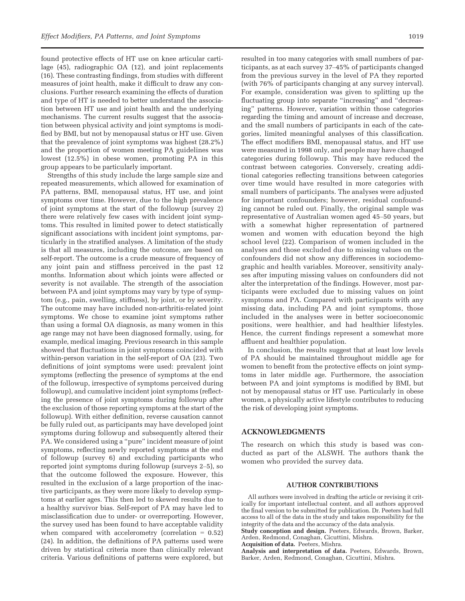found protective effects of HT use on knee articular cartilage (45), radiographic OA (12), and joint replacements (16). These contrasting findings, from studies with different measures of joint health, make it difficult to draw any conclusions. Further research examining the effects of duration and type of HT is needed to better understand the association between HT use and joint health and the underlying mechanisms. The current results suggest that the association between physical activity and joint symptoms is modified by BMI, but not by menopausal status or HT use. Given that the prevalence of joint symptoms was highest (28.2%) and the proportion of women meeting PA guidelines was lowest (12.5%) in obese women, promoting PA in this group appears to be particularly important.

Strengths of this study include the large sample size and repeated measurements, which allowed for examination of PA patterns, BMI, menopausal status, HT use, and joint symptoms over time. However, due to the high prevalence of joint symptoms at the start of the followup (survey 2) there were relatively few cases with incident joint symptoms. This resulted in limited power to detect statistically significant associations with incident joint symptoms, particularly in the stratified analyses. A limitation of the study is that all measures, including the outcome, are based on self-report. The outcome is a crude measure of frequency of any joint pain and stiffness perceived in the past 12 months. Information about which joints were affected or severity is not available. The strength of the association between PA and joint symptoms may vary by type of symptom (e.g., pain, swelling, stiffness), by joint, or by severity. The outcome may have included non-arthritis-related joint symptoms. We chose to examine joint symptoms rather than using a formal OA diagnosis, as many women in this age range may not have been diagnosed formally, using, for example, medical imaging. Previous research in this sample showed that fluctuations in joint symptoms coincided with within-person variation in the self-report of OA (23). Two definitions of joint symptoms were used: prevalent joint symptoms (reflecting the presence of symptoms at the end of the followup, irrespective of symptoms perceived during followup), and cumulative incident joint symptoms (reflecting the presence of joint symptoms during followup after the exclusion of those reporting symptoms at the start of the followup). With either definition, reverse causation cannot be fully ruled out, as participants may have developed joint symptoms during followup and subsequently altered their PA. We considered using a "pure" incident measure of joint symptoms, reflecting newly reported symptoms at the end of followup (survey 6) and excluding participants who reported joint symptoms during followup (surveys 2–5), so that the outcome followed the exposure. However, this resulted in the exclusion of a large proportion of the inactive participants, as they were more likely to develop symptoms at earlier ages. This then led to skewed results due to a healthy survivor bias. Self-report of PA may have led to misclassification due to under- or overreporting. However, the survey used has been found to have acceptable validity when compared with accelerometry (correlation  $= 0.52$ ) (24). In addition, the definitions of PA patterns used were driven by statistical criteria more than clinically relevant criteria. Various definitions of patterns were explored, but

resulted in too many categories with small numbers of participants, as at each survey 37–45% of participants changed from the previous survey in the level of PA they reported (with 76% of participants changing at any survey interval). For example, consideration was given to splitting up the fluctuating group into separate "increasing" and "decreasing" patterns. However, variation within those categories regarding the timing and amount of increase and decrease, and the small numbers of participants in each of the categories, limited meaningful analyses of this classification. The effect modifiers BMI, menopausal status, and HT use were measured in 1998 only, and people may have changed categories during followup. This may have reduced the contrast between categories. Conversely, creating additional categories reflecting transitions between categories over time would have resulted in more categories with small numbers of participants. The analyses were adjusted for important confounders; however, residual confounding cannot be ruled out. Finally, the original sample was representative of Australian women aged 45–50 years, but with a somewhat higher representation of partnered women and women with education beyond the high school level (22). Comparison of women included in the analyses and those excluded due to missing values on the confounders did not show any differences in sociodemographic and health variables. Moreover, sensitivity analyses after imputing missing values on confounders did not alter the interpretation of the findings. However, most participants were excluded due to missing values on joint symptoms and PA. Compared with participants with any missing data, including PA and joint symptoms, those included in the analyses were in better socioeconomic positions, were healthier, and had healthier lifestyles. Hence, the current findings represent a somewhat more affluent and healthier population.

In conclusion, the results suggest that at least low levels of PA should be maintained throughout middle age for women to benefit from the protective effects on joint symptoms in later middle age. Furthermore, the association between PA and joint symptoms is modified by BMI, but not by menopausal status or HT use. Particularly in obese women, a physically active lifestyle contributes to reducing the risk of developing joint symptoms.

#### ACKNOWLEDGMENTS

The research on which this study is based was conducted as part of the ALSWH. The authors thank the women who provided the survey data.

#### AUTHOR CONTRIBUTIONS

All authors were involved in drafting the article or revising it critically for important intellectual content, and all authors approved the final version to be submitted for publication. Dr. Peeters had full access to all of the data in the study and takes responsibility for the integrity of the data and the accuracy of the data analysis.

Study conception and design. Peeters, Edwards, Brown, Barker, Arden, Redmond, Conaghan, Cicuttini, Mishra.

Acquisition of data. Peeters, Mishra.

Analysis and interpretation of data. Peeters, Edwards, Brown, Barker, Arden, Redmond, Conaghan, Cicuttini, Mishra.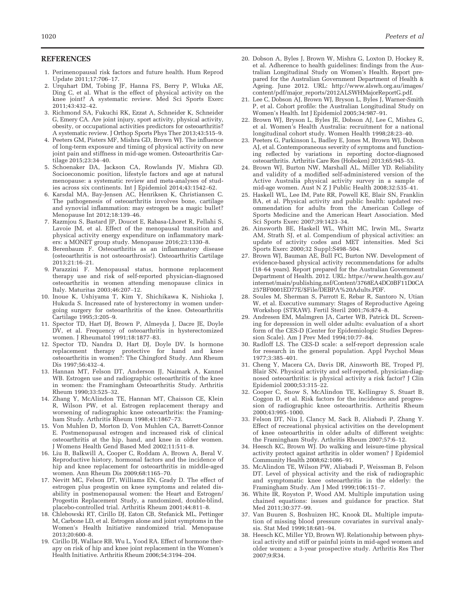#### REFERENCES

- 1. Perimenopausal risk factors and future health. Hum Reprod Update 2011;17:706–17.
- 2. Urquhart DM, Tobing JF, Hanna FS, Berry P, Wluka AE, Ding C, et al. What is the effect of physical activity on the knee joint? A systematic review. Med Sci Sports Exerc 2011;43:432–42.
- 3. Richmond SA, Fukuchi RK, Ezzat A, Schneider K, Schneider G, Emery CA. Are joint injury, sport activity, physical activity, obesity, or occupational activities predictors for osteoarthritis? A systematic review. J Orthop Sports Phys Ther 2013;43:515–9.
- 4. Peeters GM, Pisters MF, Mishra GD, Brown WJ. The influence of long-term exposure and timing of physical activity on new joint pain and stiffness in mid-age women. Osteoarthritis Cartilage 2015;23:34–40.
- 5. Schoenaker DA, Jackson CA, Rowlands JV, Mishra GD. Socioeconomic position, lifestyle factors and age at natural menopause: a systematic review and meta-analyses of studies across six continents. Int J Epidemiol 2014;43:1542–62.
- 6. Karsdal MA, Bay-Jensen AC, Henriksen K, Christiansen C. The pathogenesis of osteoarthritis involves bone, cartilage and synovial inflammation: may estrogen be a magic bullet? Menopause Int 2012;18:139–46.
- 7. Razmjou S, Bastard JP, Doucet E, Rabasa-Lhoret R, Fellahi S, Lavoie JM, et al. Effect of the menopausal transition and physical activity energy expenditure on inflammatory markers: a MONET group study. Menopause 2016;23:1330–8.
- 8. Berenbaum F. Osteoarthritis as an inflammatory disease (osteoarthritis is not osteoarthrosis!). Osteoarthritis Cartilage 2013;21:16–21.
- 9. Parazzini F. Menopausal status, hormone replacement therapy use and risk of self-reported physician-diagnosed osteoarthritis in women attending menopause clinics in Italy. Maturitas 2003;46:207–12.
- 10. Inoue K, Ushiyama T, Kim Y, Shichikawa K, Nishioka J, Hukuda S. Increased rate of hysterectomy in women undergoing surgery for osteoarthritis of the knee. Osteoarthritis Cartilage 1995;3:205–9.
- 11. Spector TD, Hart DJ, Brown P, Almeyda J, Dacre JE, Doyle DV, et al. Frequency of osteoarthritis in hysterectomized women. J Rheumatol 1991;18:1877–83.
- 12. Spector TD, Nandra D, Hart DJ, Doyle DV. Is hormone replacement therapy protective for hand and knee osteoarthritis in women?: The Chingford Study. Ann Rheum Dis 1997;56:432–4.
- 13. Hannan MT, Felson DT, Anderson JJ, Naimark A, Kannel WB. Estrogen use and radiographic osteoarthritis of the knee in women: the Framingham Osteoarthritis Study. Arthritis Rheum 1990;33:525–32.
- 14. Zhang Y, McAlindon TE, Hannan MT, Chaisson CE, Klein R, Wilson PW, et al. Estrogen replacement therapy and worsening of radiographic knee osteoarthritis: the Framingham Study. Arthritis Rheum 1998;41:1867–73.
- 15. Von Muhlen D, Morton D, Von Muhlen CA, Barrett-Connor E. Postmenopausal estrogen and increased risk of clinical osteoarthritis at the hip, hand, and knee in older women. J Womens Health Gend Based Med 2002;11:511–8.
- 16. Liu B, Balkwill A, Cooper C, Roddam A, Brown A, Beral V. Reproductive history, hormonal factors and the incidence of hip and knee replacement for osteoarthritis in middle-aged women. Ann Rheum Dis 2009;68:1165–70.
- 17. Nevitt MC, Felson DT, Williams EN, Grady D. The effect of estrogen plus progestin on knee symptoms and related disability in postmenopausal women: the Heart and Estrogen/ Progestin Replacement Study, a randomized, double-blind, placebo-controlled trial. Arthritis Rheum 2001;44:811–8.
- 18. Chlebowski RT, Cirillo DJ, Eaton CB, Stefanick ML, Pettinger M, Carbone LD, et al. Estrogen alone and joint symptoms in the Women's Health Initiative randomized trial. Menopause 2013;20:600–8.
- 19. Cirillo DJ, Wallace RB, Wu L, Yood RA. Effect of hormone therapy on risk of hip and knee joint replacement in the Women's Health Initiative. Arthritis Rheum 2006;54:3194–204.
- 20. Dobson A, Byles J, Brown W, Mishra G, Loxton D, Hockey R, et al. Adherence to health guidelines: findings from the Australian Longitudinal Study on Women's Health. Report prepared for the Australian Government Department of Health & Ageing. June 2012. URL: [http://www.alswh.org.au/images/](http://www.alswh.org.au/images/content/pdf/major_reports/2012ALSWHMajorReportG.pdf) [content/pdf/major\\_reports/2012ALSWHMajorReportG.pdf](http://www.alswh.org.au/images/content/pdf/major_reports/2012ALSWHMajorReportG.pdf).
- 21. Lee C, Dobson AJ, Brown WJ, Bryson L, Byles J, Warner-Smith P, et al. Cohort profile: the Australian Longitudinal Study on Women's Health. Int J Epidemiol 2005;34:987–91.
- 22. Brown WJ, Bryson L, Byles JE, Dobson AJ, Lee C, Mishra G, et al. Women's Health Australia: recruitment for a national longitudinal cohort study. Women Health 1998;28:23–40.
- 23. Peeters G, Parkinson L, Badley E, Jones M, Brown WJ, Dobson AJ, et al. Contemporaneous severity of symptoms and functioning reflected by variations in reporting doctor-diagnosed osteoarthritis. Arthritis Care Res (Hoboken) 2013;65:945–53.
- 24. Brown WJ, Burton NW, Marshall AL, Miller YD. Reliability and validity of a modified self-administered version of the Active Australia physical activity survey in a sample of mid-age women. Aust N Z J Public Health 2008;32:535–41.
- 25. Haskell WL, Lee IM, Pate RR, Powell KE, Blair SN, Franklin BA, et al. Physical activity and public health: updated recommendation for adults from the American College of Sports Medicine and the American Heart Association. Med Sci Sports Exerc 2007;39:1423–34.
- 26. Ainsworth BE, Haskell WL, Whitt MC, Irwin ML, Swartz AM, Strath SJ, et al. Compendium of physical activities: an update of activity codes and MET intensities. Med Sci Sports Exerc 2000;32 Suppl:S498–504.
- 27. Brown WJ, Bauman AE, Bull FC, Burton NW. Development of evidence-based physical activity recommendations for adults (18–64 years). Report prepared for the Australian Government Department of Health. 2012. URL: [https://www.health.gov.au/](https://www.health.gov.au/internet/main/publishing.nsf/Content/3768EA4DC0BF11D0CA257BF0001ED77E/$File/DEBPA%20Adults.PDF) [internet/main/publishing.nsf/Content/3768EA4DC0BF11D0CA](https://www.health.gov.au/internet/main/publishing.nsf/Content/3768EA4DC0BF11D0CA257BF0001ED77E/$File/DEBPA%20Adults.PDF) [257BF0001ED77E/\\$File/DEBPA%20Adults.PDF.](https://www.health.gov.au/internet/main/publishing.nsf/Content/3768EA4DC0BF11D0CA257BF0001ED77E/$File/DEBPA%20Adults.PDF)
- 28. Soules M, Sherman S, Parrott E, Rebar R, Santoro N, Utian W, et al. Executive summary: Stages of Reproductive Ageing Workshop (STRAW). Fertil Steril 2001;76:874–8.
- 29. Andresen EM, Malmgren JA, Carter WB, Patrick DL. Screening for depression in well older adults: evaluation of a short form of the CES-D (Center for Epidemiologic Studies Depression Scale). Am J Prev Med 1994;10:77–84.
- 30. Radloff LS. The CES-D scale: a self-report depression scale for research in the general population. Appl Psychol Meas 1977;3:385–401.
- 31. Cheng Y, Macera CA, Davis DR, Ainsworth BE, Troped PJ, Blair SN. Physical activity and self-reported, physician-diagnosed osteoarthritis: is physical activity a risk factor? J Clin Epidemiol 2000;53:315–22.
- 32. Cooper C, Snow S, McAlindon TE, Kellingray S, Stuart B, Coggon D, et al. Risk factors for the incidence and progression of radiographic knee osteoarthritis. Arthritis Rheum 2000;43:995–1000.
- 33. Felson DT, Niu J, Clancy M, Sack B, Aliabadi P, Zhang Y. Effect of recreational physical activities on the development of knee osteoarthritis in older adults of different weights: the Framingham Study. Arthritis Rheum 2007;57:6–12.
- 34. Heesch KC, Brown WJ. Do walking and leisure-time physical activity protect against arthritis in older women? J Epidemiol Community Health 2008;62:1086–91.
- 35. McAlindon TE, Wilson PW, Aliabadi P, Weissman B, Felson DT. Level of physical activity and the risk of radiographic and symptomatic knee osteoarthritis in the elderly: the Framingham Study. Am J Med 1999;106:151–7.
- 36. White IR, Royston P, Wood AM. Multiple imputation using chained equations: issues and guidance for practice. Stat Med 2011;30:377–99.
- 37. Van Buuren S, Boshuizen HC, Knook DL. Multiple imputation of missing blood pressure covariates in survival analysis. Stat Med 1999;18:681–94.
- 38. Heesch KC, Miller YD, Brown WJ. Relationship between physical activity and stiff or painful joints in mid-aged women and older women: a 3-year prospective study. Arthritis Res Ther 2007;9:R34.